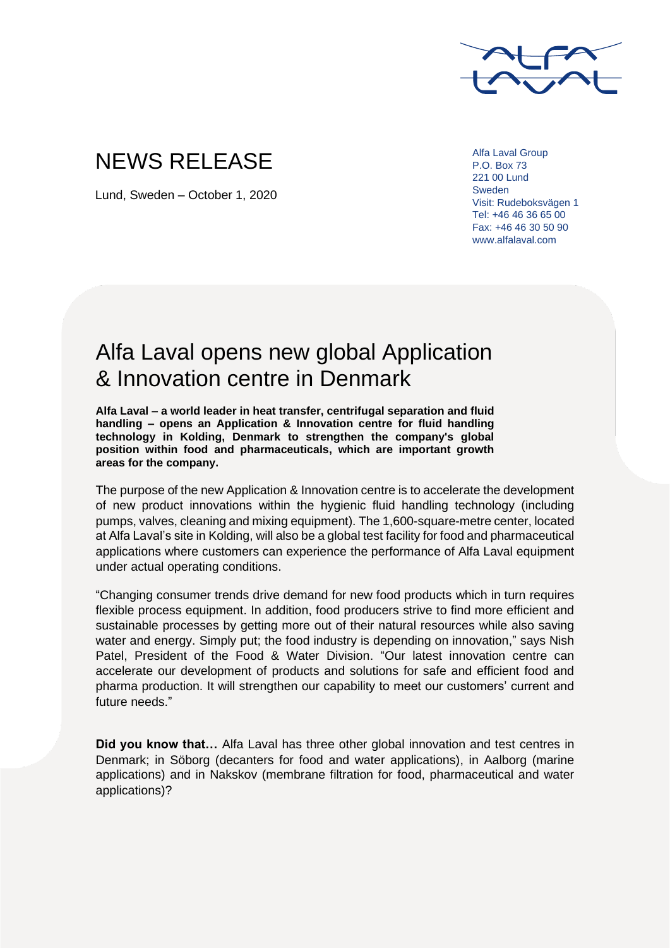

## NEWS RELEASE

Lund, Sweden – October 1, 2020

Alfa Laval Group P.O. Box 73 221 00 Lund Sweden Visit: Rudeboksvägen 1 Tel: +46 46 36 65 00 Fax: +46 46 30 50 90 www.alfalaval.com

## Alfa Laval opens new global Application & Innovation centre in Denmark

**Alfa Laval – a world leader in heat transfer, centrifugal separation and fluid handling – opens an Application & Innovation centre for fluid handling technology in Kolding, Denmark to strengthen the company's global position within food and pharmaceuticals, which are important growth areas for the company.**

The purpose of the new Application & Innovation centre is to accelerate the development of new product innovations within the hygienic fluid handling technology (including pumps, valves, cleaning and mixing equipment). The 1,600-square-metre center, located at Alfa Laval's site in Kolding, will also be a global test facility for food and pharmaceutical applications where customers can experience the performance of Alfa Laval equipment under actual operating conditions.

"Changing consumer trends drive demand for new food products which in turn requires flexible process equipment. In addition, food producers strive to find more efficient and sustainable processes by getting more out of their natural resources while also saving water and energy. Simply put; the food industry is depending on innovation," says Nish Patel, President of the Food & Water Division. "Our latest innovation centre can accelerate our development of products and solutions for safe and efficient food and pharma production. It will strengthen our capability to meet our customers' current and future needs."

**Did you know that…** Alfa Laval has three other global innovation and test centres in Denmark; in Söborg (decanters for food and water applications), in Aalborg (marine applications) and in Nakskov (membrane filtration for food, pharmaceutical and water applications)?